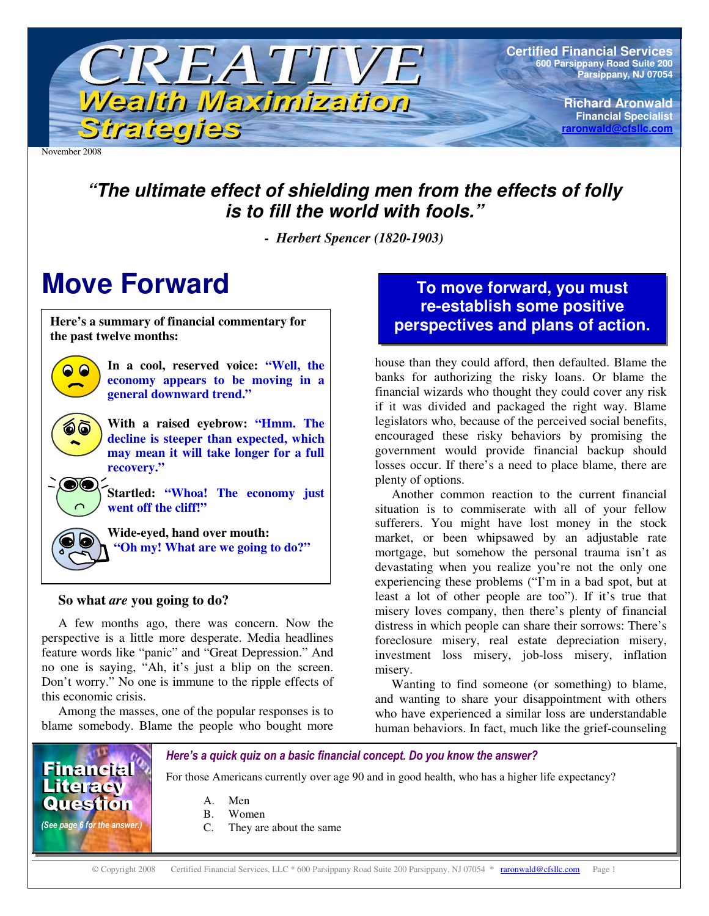

November 2008

 $\bigcirc$ 

# *"The ultimate effect of shielding men from the effects of folly is to fill the world with fools."*

*- Herbert Spencer (1820-1903)*

# **Move Forward**

**Here's a summary of financial commentary for the past twelve months:**



**With a raised eyebrow: "Hmm. The decline is steeper than expected, which may mean it will take longer for a full recovery."**

**Startled: "Whoa! The economy just went off the cliff!"**



## **So what** *are* **you going to do?**

A few months ago, there was concern. Now the perspective is a little more desperate. Media headlines feature words like "panic" and "Great Depression." And no one is saying, "Ah, it's just a blip on the screen. Don't worry." No one is immune to the ripple effects of this economic crisis.

Among the masses, one of the popular responses is to blame somebody. Blame the people who bought more

# **To move forward, you must re-establish some positive perspectives and plans of action.**

house than they could afford, then defaulted. Blame the banks for authorizing the risky loans. Or blame the financial wizards who thought they could cover any risk if it was divided and packaged the right way. Blame legislators who, because of the perceived social benefits, encouraged these risky behaviors by promising the government would provide financial backup should losses occur. If there's a need to place blame, there are plenty of options.

Another common reaction to the current financial situation is to commiserate with all of your fellow sufferers. You might have lost money in the stock market, or been whipsawed by an adjustable rate mortgage, but somehow the personal trauma isn't as devastating when you realize you're not the only one experiencing these problems ("I'm in a bad spot, but at least a lot of other people are too"). If it's true that misery loves company, then there's plenty of financial distress in which people can share their sorrows: There's foreclosure misery, real estate depreciation misery, investment loss misery, job-loss misery, inflation misery.

Wanting to find someone (or something) to blame, and wanting to share your disappointment with others who have experienced a similar loss are understandable human behaviors. In fact, much like the grief-counseling



Here's a quick quiz on a basic financial concept. Do you know the answer?

For those Americans currently over age 90 and in good health, who has a higher life expectancy?

C. They are about the same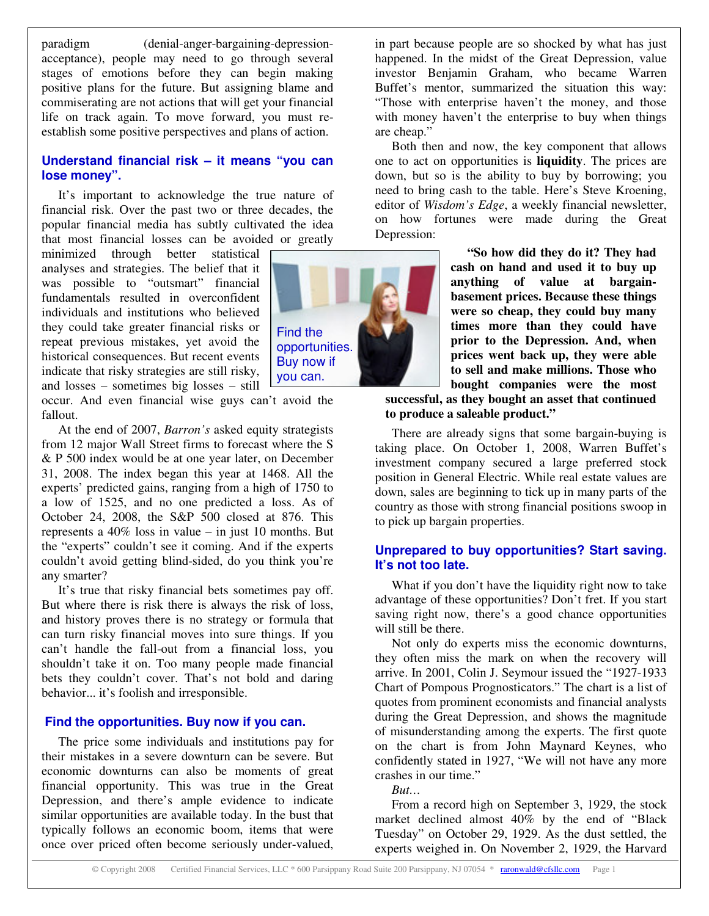paradigm (denial-anger-bargaining-depressionacceptance), people may need to go through several stages of emotions before they can begin making positive plans for the future. But assigning blame and commiserating are not actions that will get your financial life on track again. To move forward, you must reestablish some positive perspectives and plans of action.

## **Understand financial risk – it means "you can lose money".**

It's important to acknowledge the true nature of financial risk. Over the past two or three decades, the popular financial media has subtly cultivated the idea that most financial losses can be avoided or greatly

minimized through better statistical analyses and strategies. The belief that it was possible to "outsmart" financial fundamentals resulted in overconfident individuals and institutions who believed they could take greater financial risks or repeat previous mistakes, yet avoid the historical consequences. But recent events indicate that risky strategies are still risky, and losses – sometimes big losses – still

occur. And even financial wise guys can't avoid the fallout.

At the end of 2007, *Barron's* asked equity strategists from 12 major Wall Street firms to forecast where the S & P 500 index would be at one year later, on December 31, 2008. The index began this year at 1468. All the experts' predicted gains, ranging from a high of 1750 to a low of 1525, and no one predicted a loss. As of October 24, 2008, the S&P 500 closed at 876. This represents a 40% loss in value – in just 10 months. But the "experts" couldn't see it coming. And if the experts couldn't avoid getting blind-sided, do you think you're any smarter?

It's true that risky financial bets sometimes pay off. But where there is risk there is always the risk of loss, and history proves there is no strategy or formula that can turn risky financial moves into sure things. If you can't handle the fall-out from a financial loss, you shouldn't take it on. Too many people made financial bets they couldn't cover. That's not bold and daring behavior... it's foolish and irresponsible.

## **Find the opportunities. Buy now if you can.**

The price some individuals and institutions pay for their mistakes in a severe downturn can be severe. But economic downturns can also be moments of great financial opportunity. This was true in the Great Depression, and there's ample evidence to indicate similar opportunities are available today. In the bust that typically follows an economic boom, items that were once over priced often become seriously under-valued,



in part because people are so shocked by what has just happened. In the midst of the Great Depression, value investor Benjamin Graham, who became Warren Buffet's mentor, summarized the situation this way: "Those with enterprise haven't the money, and those with money haven't the enterprise to buy when things are cheap."

Both then and now, the key component that allows one to act on opportunities is **liquidity**. The prices are down, but so is the ability to buy by borrowing; you need to bring cash to the table. Here's Steve Kroening, editor of *Wisdom's Edge*, a weekly financial newsletter, on how fortunes were made during the Great Depression:

> **"So how did they do it? They had cash on hand and used it to buy up anything of value at bargainbasement prices. Because these things were so cheap, they could buy many times more than they could have prior to the Depression. And, when prices went back up, they were able to sell and make millions. Those who bought companies were the most**

**successful, as they bought an asset that continued to produce a saleable product."**

There are already signs that some bargain-buying is taking place. On October 1, 2008, Warren Buffet's investment company secured a large preferred stock position in General Electric. While real estate values are down, sales are beginning to tick up in many parts of the country as those with strong financial positions swoop in to pick up bargain properties.

#### **Unprepared to buy opportunities? Start saving. It's not too late.**

What if you don't have the liquidity right now to take advantage of these opportunities? Don't fret. If you start saving right now, there's a good chance opportunities will still be there.

Not only do experts miss the economic downturns, they often miss the mark on when the recovery will arrive. In 2001, Colin J. Seymour issued the "1927-1933 Chart of Pompous Prognosticators." The chart is a list of quotes from prominent economists and financial analysts during the Great Depression, and shows the magnitude of misunderstanding among the experts. The first quote on the chart is from John Maynard Keynes, who confidently stated in 1927, "We will not have any more crashes in our time."

*But…*

From a record high on September 3, 1929, the stock market declined almost 40% by the end of "Black Tuesday" on October 29, 1929. As the dust settled, the experts weighed in. On November 2, 1929, the Harvard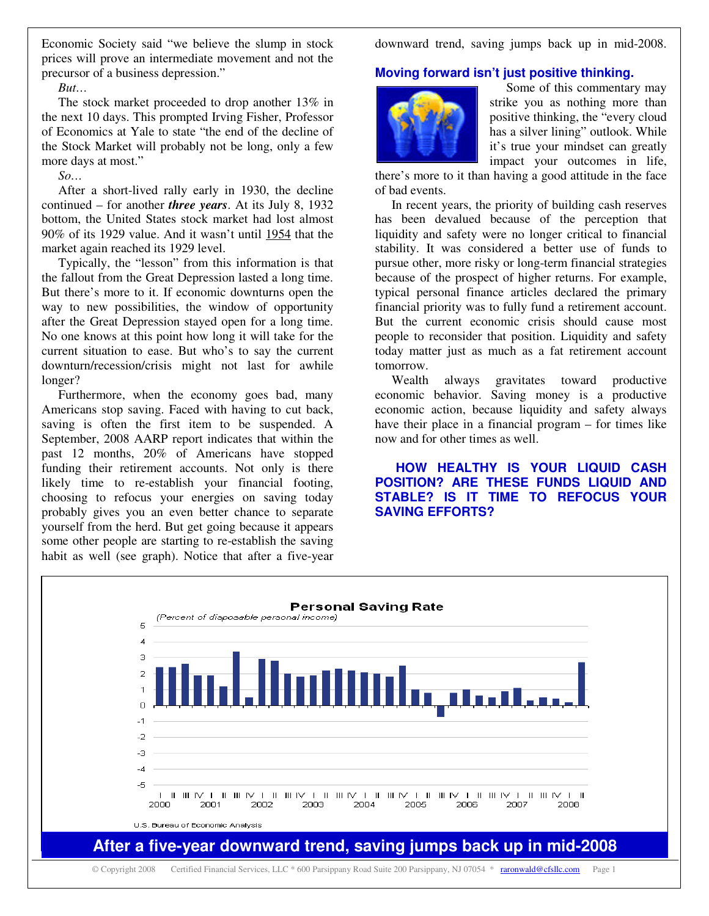Economic Society said "we believe the slump in stock prices will prove an intermediate movement and not the precursor of a business depression."

#### *But…*

The stock market proceeded to drop another 13% in the next 10 days. This prompted Irving Fisher, Professor of Economics at Yale to state "the end of the decline of the Stock Market will probably not be long, only a few more days at most."

*So…*

After a short-lived rally early in 1930, the decline continued – for another *three years*. At its July 8, 1932 bottom, the United States stock market had lost almost 90% of its 1929 value. And it wasn't until 1954 that the market again reached its 1929 level.

Typically, the "lesson" from this information is that the fallout from the Great Depression lasted a long time. But there's more to it. If economic downturns open the way to new possibilities, the window of opportunity after the Great Depression stayed open for a long time. No one knows at this point how long it will take for the current situation to ease. But who's to say the current downturn/recession/crisis might not last for awhile longer?

Furthermore, when the economy goes bad, many Americans stop saving. Faced with having to cut back, saving is often the first item to be suspended. A September, 2008 AARP report indicates that within the past 12 months, 20% of Americans have stopped funding their retirement accounts. Not only is there likely time to re-establish your financial footing, choosing to refocus your energies on saving today probably gives you an even better chance to separate yourself from the herd. But get going because it appears some other people are starting to re-establish the saving habit as well (see graph). Notice that after a five-year downward trend, saving jumps back up in mid-2008.

#### **Moving forward isn't just positive thinking.**



Some of this commentary may strike you as nothing more than positive thinking, the "every cloud has a silver lining" outlook. While it's true your mindset can greatly impact your outcomes in life,

there's more to it than having a good attitude in the face of bad events.

In recent years, the priority of building cash reserves has been devalued because of the perception that liquidity and safety were no longer critical to financial stability. It was considered a better use of funds to pursue other, more risky or long-term financial strategies because of the prospect of higher returns. For example, typical personal finance articles declared the primary financial priority was to fully fund a retirement account. But the current economic crisis should cause most people to reconsider that position. Liquidity and safety today matter just as much as a fat retirement account tomorrow.

Wealth always gravitates toward productive economic behavior. Saving money is a productive economic action, because liquidity and safety always have their place in a financial program – for times like now and for other times as well.

**HOW HEALTHY IS YOUR LIQUID CASH POSITION? ARE THESE FUNDS LIQUID AND STABLE? IS IT TIME TO REFOCUS YOUR SAVING EFFORTS?**

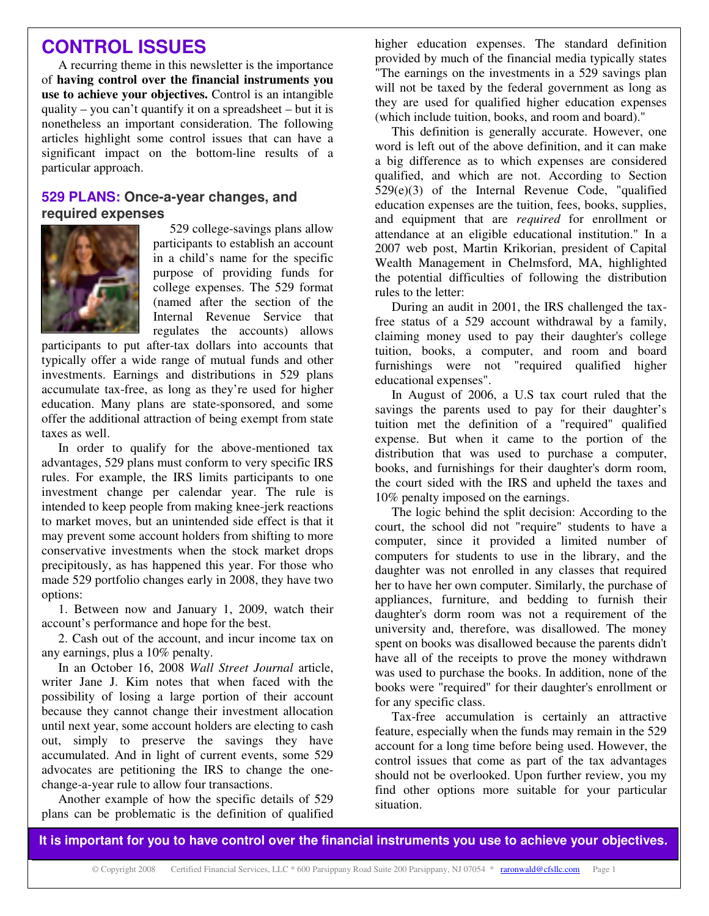# **CONTROL ISSUES**

A recurring theme in this newsletter is the importance of **having control over the financial instruments you use to achieve your objectives.** Control is an intangible quality – you can't quantify it on a spreadsheet – but it is nonetheless an important consideration. The following articles highlight some control issues that can have a significant impact on the bottom-line results of a particular approach.

## **529 PLANS: Once-a-year changes, and required expenses**



529 college-savings plans allow participants to establish an account in a child's name for the specific purpose of providing funds for college expenses. The 529 format (named after the section of the Internal Revenue Service that regulates the accounts) allows

participants to put after-tax dollars into accounts that typically offer a wide range of mutual funds and other investments. Earnings and distributions in 529 plans accumulate tax-free, as long as they're used for higher education. Many plans are state-sponsored, and some offer the additional attraction of being exempt from state taxes as well.

In order to qualify for the above-mentioned tax advantages, 529 plans must conform to very specific IRS rules. For example, the IRS limits participants to one investment change per calendar year. The rule is intended to keep people from making knee-jerk reactions to market moves, but an unintended side effect is that it may prevent some account holders from shifting to more conservative investments when the stock market drops precipitously, as has happened this year. For those who made 529 portfolio changes early in 2008, they have two options:

1. Between now and January 1, 2009, watch their account's performance and hope for the best.

2. Cash out of the account, and incur income tax on any earnings, plus a 10% penalty.

In an October 16, 2008 *Wall Street Journal* article, writer Jane J. Kim notes that when faced with the possibility of losing a large portion of their account because they cannot change their investment allocation until next year, some account holders are electing to cash out, simply to preserve the savings they have accumulated. And in light of current events, some 529 advocates are petitioning the IRS to change the onechange-a-year rule to allow four transactions.

Another example of how the specific details of 529 plans can be problematic is the definition of qualified higher education expenses. The standard definition provided by much of the financial media typically states "The earnings on the investments in a 529 savings plan will not be taxed by the federal government as long as they are used for qualified higher education expenses (which include tuition, books, and room and board)."

This definition is generally accurate. However, one word is left out of the above definition, and it can make a big difference as to which expenses are considered qualified, and which are not. According to Section 529(e)(3) of the Internal Revenue Code, "qualified education expenses are the tuition, fees, books, supplies, and equipment that are *required* for enrollment or attendance at an eligible educational institution." In a 2007 web post, Martin Krikorian, president of Capital Wealth Management in Chelmsford, MA, highlighted the potential difficulties of following the distribution rules to the letter:

During an audit in 2001, the IRS challenged the taxfree status of a 529 account withdrawal by a family, claiming money used to pay their daughter's college tuition, books, a computer, and room and board furnishings were not "required qualified higher educational expenses".

In August of 2006, a U.S tax court ruled that the savings the parents used to pay for their daughter's tuition met the definition of a "required" qualified expense. But when it came to the portion of the distribution that was used to purchase a computer, books, and furnishings for their daughter's dorm room, the court sided with the IRS and upheld the taxes and 10% penalty imposed on the earnings.

The logic behind the split decision: According to the court, the school did not "require" students to have a computer, since it provided a limited number of computers for students to use in the library, and the daughter was not enrolled in any classes that required her to have her own computer. Similarly, the purchase of appliances, furniture, and bedding to furnish their daughter's dorm room was not a requirement of the university and, therefore, was disallowed. The money spent on books was disallowed because the parents didn't have all of the receipts to prove the money withdrawn was used to purchase the books. In addition, none of the books were "required" for their daughter's enrollment or for any specific class.

Tax-free accumulation is certainly an attractive feature, especially when the funds may remain in the 529 account for a long time before being used. However, the control issues that come as part of the tax advantages should not be overlooked. Upon further review, you my find other options more suitable for your particular situation.

It is important for you to have control over the financial instruments you use to achieve your objectives.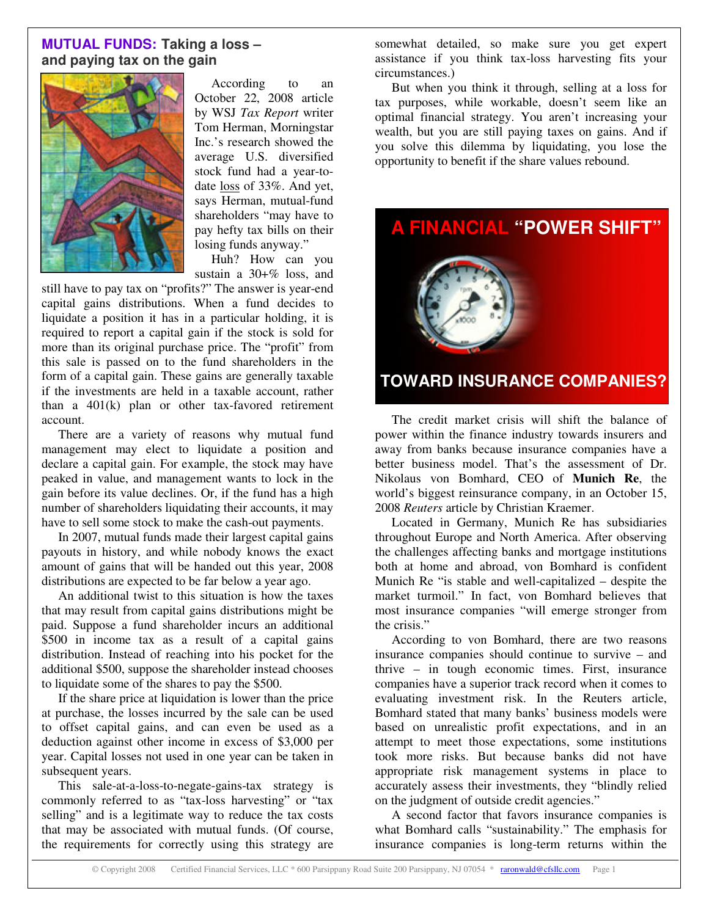# **MUTUAL FUNDS: Taking a loss – and paying tax on the gain**



According to an October 22, 2008 article by WSJ *Tax Report* writer Tom Herman, Morningstar Inc.'s research showed the average U.S. diversified stock fund had a year-todate loss of 33%. And yet, says Herman, mutual-fund shareholders "may have to pay hefty tax bills on their losing funds anyway."

Huh? How can you sustain a 30+% loss, and

still have to pay tax on "profits?" The answer is year-end capital gains distributions. When a fund decides to liquidate a position it has in a particular holding, it is required to report a capital gain if the stock is sold for more than its original purchase price. The "profit" from this sale is passed on to the fund shareholders in the form of a capital gain. These gains are generally taxable if the investments are held in a taxable account, rather than a 401(k) plan or other tax-favored retirement account.

There are a variety of reasons why mutual fund management may elect to liquidate a position and declare a capital gain. For example, the stock may have peaked in value, and management wants to lock in the gain before its value declines. Or, if the fund has a high number of shareholders liquidating their accounts, it may have to sell some stock to make the cash-out payments.

In 2007, mutual funds made their largest capital gains payouts in history, and while nobody knows the exact amount of gains that will be handed out this year, 2008 distributions are expected to be far below a year ago.

An additional twist to this situation is how the taxes that may result from capital gains distributions might be paid. Suppose a fund shareholder incurs an additional \$500 in income tax as a result of a capital gains distribution. Instead of reaching into his pocket for the additional \$500, suppose the shareholder instead chooses to liquidate some of the shares to pay the \$500.

If the share price at liquidation is lower than the price at purchase, the losses incurred by the sale can be used to offset capital gains, and can even be used as a deduction against other income in excess of \$3,000 per year. Capital losses not used in one year can be taken in subsequent years.

This sale-at-a-loss-to-negate-gains-tax strategy is commonly referred to as "tax-loss harvesting" or "tax selling" and is a legitimate way to reduce the tax costs that may be associated with mutual funds. (Of course, the requirements for correctly using this strategy are

somewhat detailed, so make sure you get expert assistance if you think tax-loss harvesting fits your circumstances.)

But when you think it through, selling at a loss for tax purposes, while workable, doesn't seem like an optimal financial strategy. You aren't increasing your wealth, but you are still paying taxes on gains. And if you solve this dilemma by liquidating, you lose the opportunity to benefit if the share values rebound.



The credit market crisis will shift the balance of power within the finance industry towards insurers and away from banks because insurance companies have a better business model. That's the assessment of Dr. Nikolaus von Bomhard, CEO of **Munich Re**, the world's biggest reinsurance company, in an October 15, 2008 *Reuters* article by Christian Kraemer.

Located in Germany, Munich Re has subsidiaries throughout Europe and North America. After observing the challenges affecting banks and mortgage institutions both at home and abroad, von Bomhard is confident Munich Re "is stable and well-capitalized – despite the market turmoil." In fact, von Bomhard believes that most insurance companies "will emerge stronger from the crisis."

According to von Bomhard, there are two reasons insurance companies should continue to survive – and thrive – in tough economic times. First, insurance companies have a superior track record when it comes to evaluating investment risk. In the Reuters article, Bomhard stated that many banks' business models were based on unrealistic profit expectations, and in an attempt to meet those expectations, some institutions took more risks. But because banks did not have appropriate risk management systems in place to accurately assess their investments, they "blindly relied on the judgment of outside credit agencies."

A second factor that favors insurance companies is what Bomhard calls "sustainability." The emphasis for insurance companies is long-term returns within the